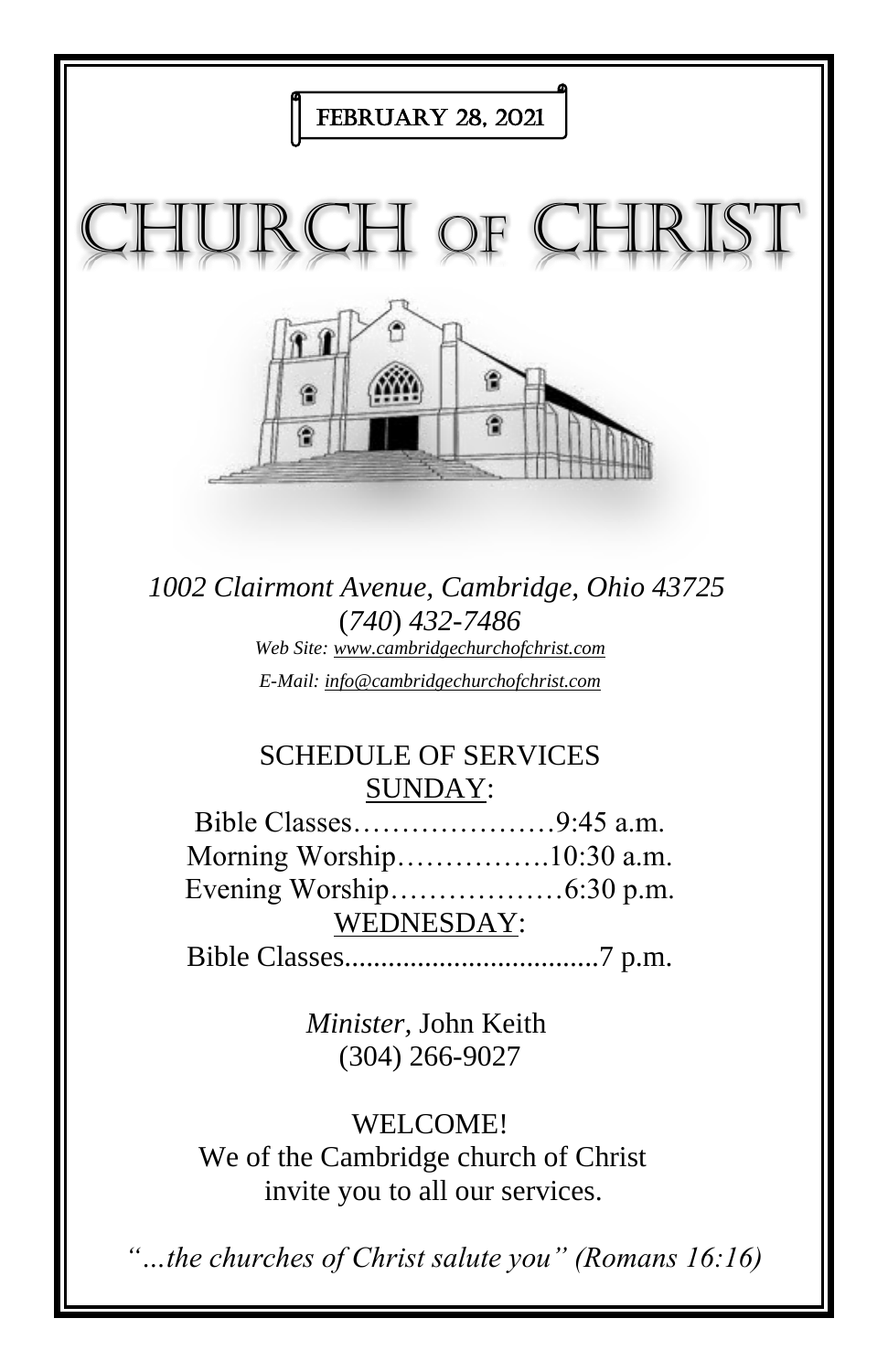

*1002 Clairmont Avenue, Cambridge, Ohio 43725* (*740*) *432-7486 Web Site: www.cambridgechurchofchrist.com E-Mail: info@cambridgechurchofchrist.com*

# SCHEDULE OF SERVICES SUNDAY:

Bible Classes…………………9:45 a.m. Morning Worship…………….10:30 a.m. Evening Worship………………6:30 p.m. WEDNESDAY: Bible Classes...................................7 p.m.

> *Minister,* John Keith (304) 266-9027

WELCOME!

We of the Cambridge church of Christ invite you to all our services.

*"…the churches of Christ salute you" (Romans 16:16)*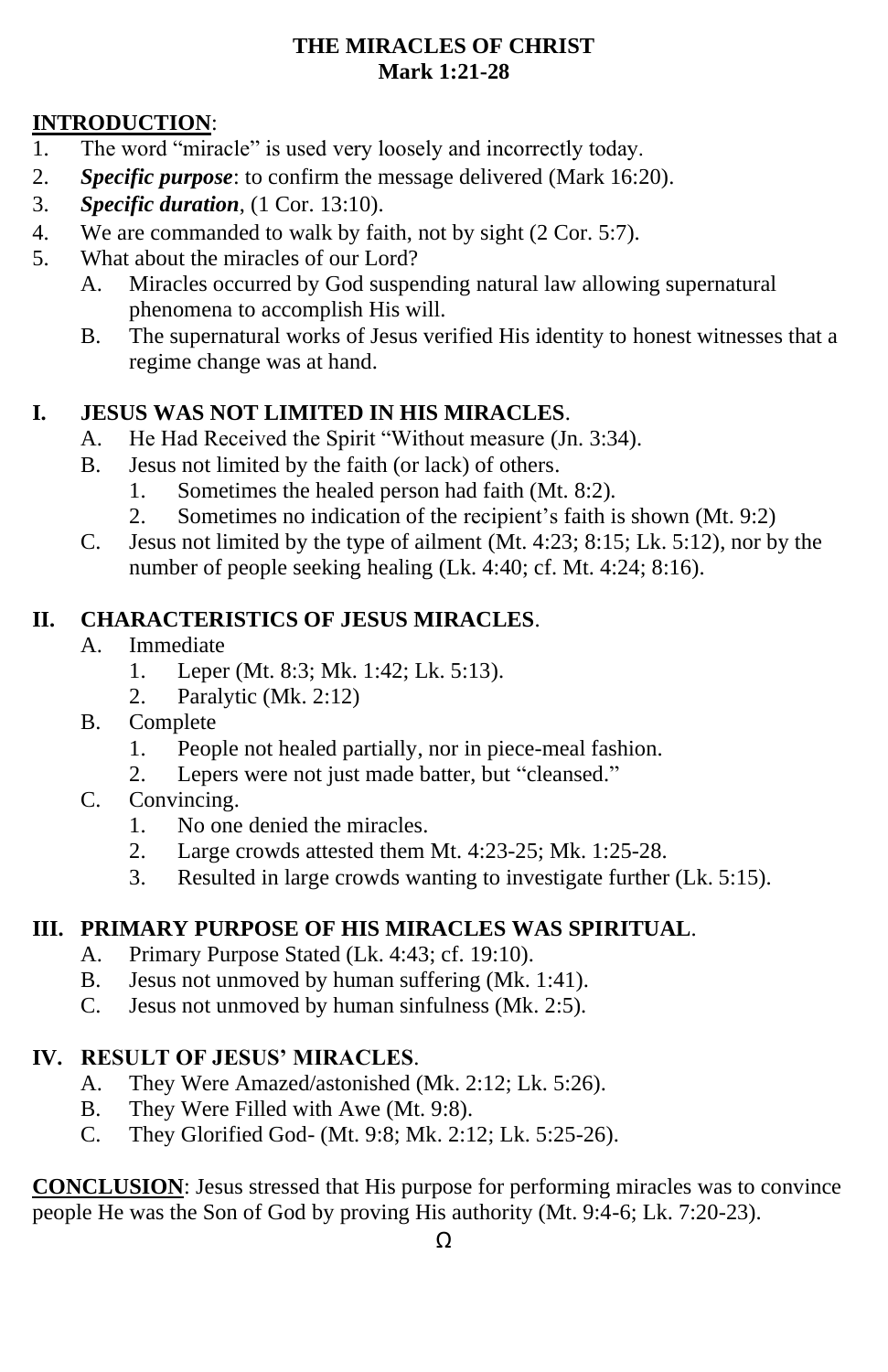#### **THE MIRACLES OF CHRIST Mark 1:21-28**

## **INTRODUCTION**:

- 1. The word "miracle" is used very loosely and incorrectly today.
- 2. *Specific purpose*: to confirm the message delivered (Mark 16:20).
- 3. *Specific duration*, (1 Cor. 13:10).
- 4. We are commanded to walk by faith, not by sight (2 Cor. 5:7).
- 5. What about the miracles of our Lord?
	- A. Miracles occurred by God suspending natural law allowing supernatural phenomena to accomplish His will.
	- B. The supernatural works of Jesus verified His identity to honest witnesses that a regime change was at hand.

### **I. JESUS WAS NOT LIMITED IN HIS MIRACLES**.

- A. He Had Received the Spirit "Without measure (Jn. 3:34).
- B. Jesus not limited by the faith (or lack) of others.
	- 1. Sometimes the healed person had faith (Mt. 8:2).
	- 2. Sometimes no indication of the recipient's faith is shown (Mt. 9:2)
- C. Jesus not limited by the type of ailment (Mt. 4:23; 8:15; Lk. 5:12), nor by the number of people seeking healing (Lk. 4:40; cf. Mt. 4:24; 8:16).

#### **II. CHARACTERISTICS OF JESUS MIRACLES**.

- A. Immediate
	- 1. Leper (Mt. 8:3; Mk. 1:42; Lk. 5:13).
	- 2. Paralytic (Mk. 2:12)
- B. Complete
	- 1. People not healed partially, nor in piece-meal fashion.
	- 2. Lepers were not just made batter, but "cleansed."
- C. Convincing.
	- 1. No one denied the miracles.
	- 2. Large crowds attested them Mt. 4:23-25; Mk. 1:25-28.
	- 3. Resulted in large crowds wanting to investigate further (Lk. 5:15).

### **III. PRIMARY PURPOSE OF HIS MIRACLES WAS SPIRITUAL**.

- A. Primary Purpose Stated (Lk. 4:43; cf. 19:10).
- B. Jesus not unmoved by human suffering (Mk. 1:41).
- C. Jesus not unmoved by human sinfulness (Mk. 2:5).

#### **IV. RESULT OF JESUS' MIRACLES**.

- A. They Were Amazed/astonished (Mk. 2:12; Lk. 5:26).
- B. They Were Filled with Awe (Mt. 9:8).
- C. They Glorified God- (Mt. 9:8; Mk. 2:12; Lk. 5:25-26).

**CONCLUSION**: Jesus stressed that His purpose for performing miracles was to convince people He was the Son of God by proving His authority (Mt. 9:4-6; Lk. 7:20-23).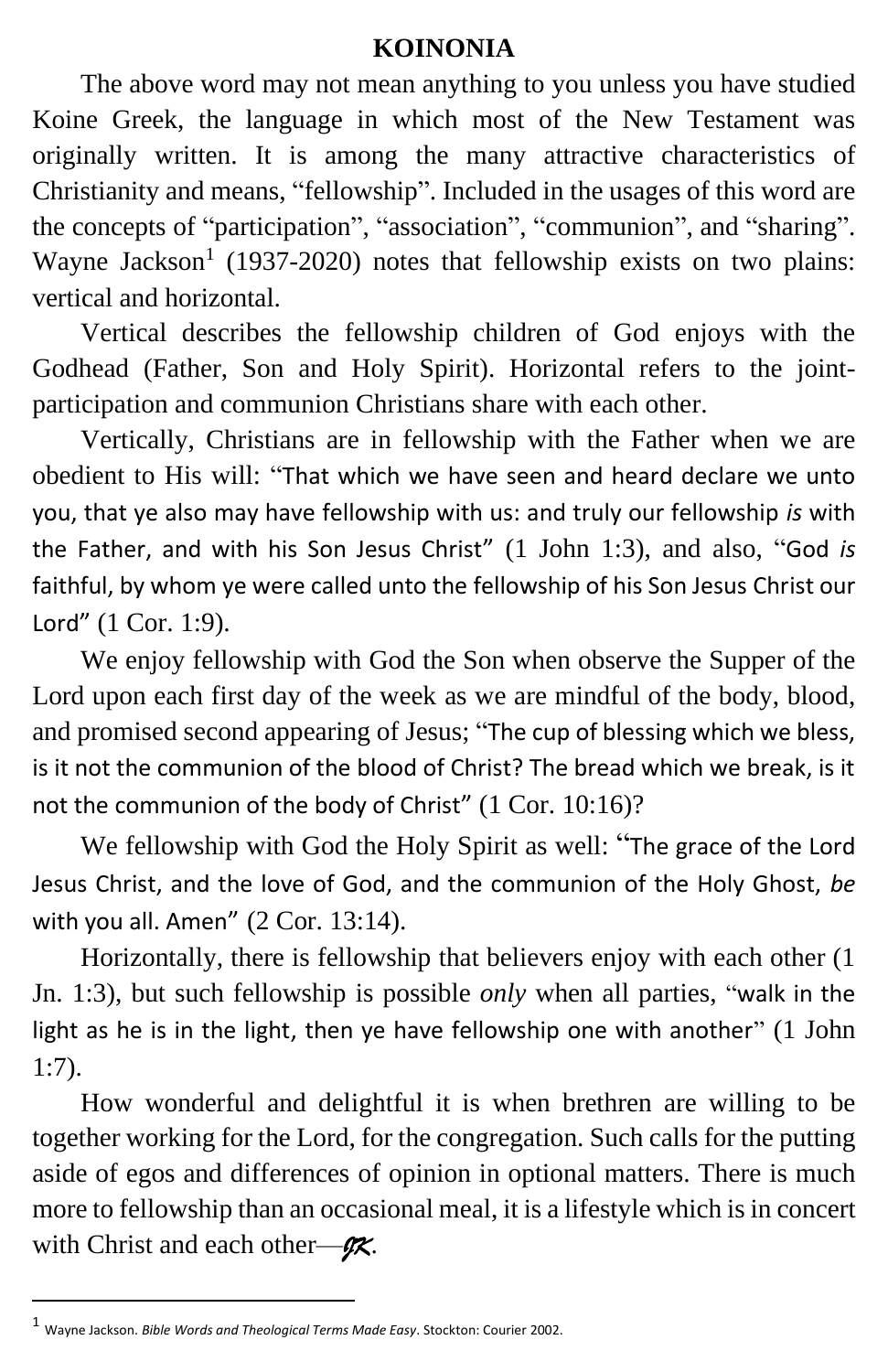## **KOINONIA**

The above word may not mean anything to you unless you have studied Koine Greek, the language in which most of the New Testament was originally written. It is among the many attractive characteristics of Christianity and means, "fellowship". Included in the usages of this word are the concepts of "participation", "association", "communion", and "sharing". Wayne Jackson<sup>1</sup> (1937-2020) notes that fellowship exists on two plains: vertical and horizontal.

Vertical describes the fellowship children of God enjoys with the Godhead (Father, Son and Holy Spirit). Horizontal refers to the jointparticipation and communion Christians share with each other.

Vertically, Christians are in fellowship with the Father when we are obedient to His will: "That which we have seen and heard declare we unto you, that ye also may have fellowship with us: and truly our fellowship *is* with the Father, and with his Son Jesus Christ" (1 John 1:3), and also, "God *is* faithful, by whom ye were called unto the fellowship of his Son Jesus Christ our Lord" (1 Cor. 1:9).

We enjoy fellowship with God the Son when observe the Supper of the Lord upon each first day of the week as we are mindful of the body, blood, and promised second appearing of Jesus; "The cup of blessing which we bless, is it not the communion of the blood of Christ? The bread which we break, is it not the communion of the body of Christ" (1 Cor. 10:16)?

We fellowship with God the Holy Spirit as well: "The grace of the Lord Jesus Christ, and the love of God, and the communion of the Holy Ghost, *be* with you all. Amen" (2 Cor. 13:14).

Horizontally, there is fellowship that believers enjoy with each other (1 Jn. 1:3), but such fellowship is possible *only* when all parties, "walk in the light as he is in the light, then ye have fellowship one with another" (1 John 1:7).

How wonderful and delightful it is when brethren are willing to be together working for the Lord, for the congregation. Such calls for the putting aside of egos and differences of opinion in optional matters. There is much more to fellowship than an occasional meal, it is a lifestyle which is in concert with Christ and each other—*JK*.

<sup>1</sup> Wayne Jackson. *Bible Words and Theological Terms Made Easy*. Stockton: Courier 2002.